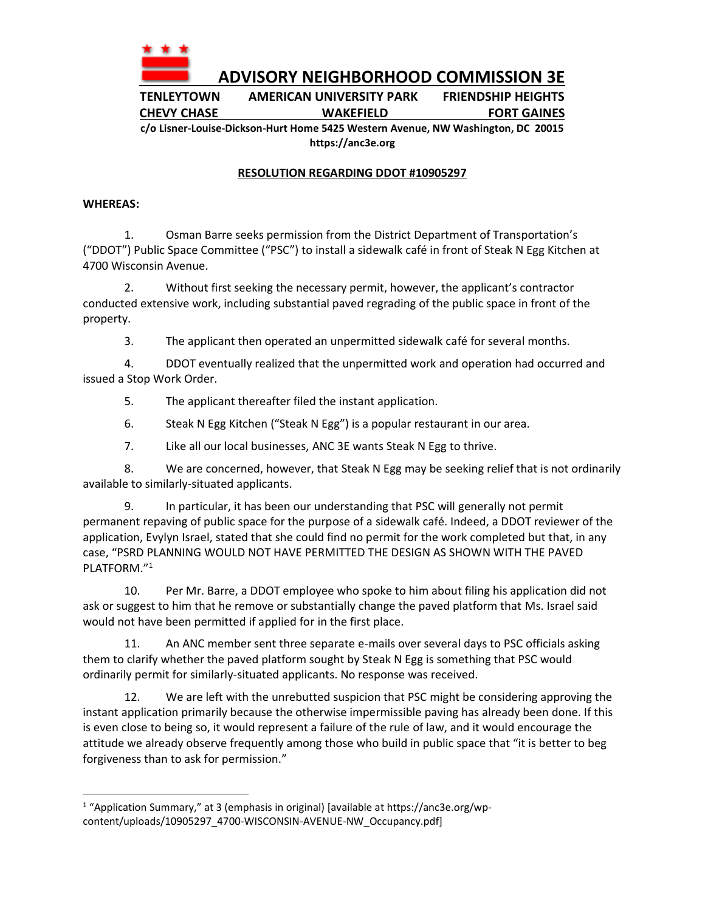

## **ADVISORY NEIGHBORHOOD COMMISSION 3E**

**TENLEYTOWN AMERICAN UNIVERSITY PARK FRIENDSHIP HEIGHTS CHEVY CHASE WAKEFIELD FORT GAINES**

**c/o Lisner-Louise-Dickson-Hurt Home 5425 Western Avenue, NW Washington, DC 20015 https://anc3e.org**

## **RESOLUTION REGARDING DDOT #10905297**

## **WHEREAS:**

1. Osman Barre seeks permission from the District Department of Transportation's ("DDOT") Public Space Committee ("PSC") to install a sidewalk café in front of Steak N Egg Kitchen at 4700 Wisconsin Avenue.

2. Without first seeking the necessary permit, however, the applicant's contractor conducted extensive work, including substantial paved regrading of the public space in front of the property.

3. The applicant then operated an unpermitted sidewalk café for several months.

4. DDOT eventually realized that the unpermitted work and operation had occurred and issued a Stop Work Order.

5. The applicant thereafter filed the instant application.

6. Steak N Egg Kitchen ("Steak N Egg") is a popular restaurant in our area.

7. Like all our local businesses, ANC 3E wants Steak N Egg to thrive.

8. We are concerned, however, that Steak N Egg may be seeking relief that is not ordinarily available to similarly-situated applicants.

9. In particular, it has been our understanding that PSC will generally not permit permanent repaving of public space for the purpose of a sidewalk café. Indeed, a DDOT reviewer of the application, Evylyn Israel, stated that she could find no permit for the work completed but that, in any case, "PSRD PLANNING WOULD NOT HAVE PERMITTED THE DESIGN AS SHOWN WITH THE PAVED PLATFORM."<sup>1</sup>

10. Per Mr. Barre, a DDOT employee who spoke to him about filing his application did not ask or suggest to him that he remove or substantially change the paved platform that Ms. Israel said would not have been permitted if applied for in the first place.

11. An ANC member sent three separate e-mails over several days to PSC officials asking them to clarify whether the paved platform sought by Steak N Egg is something that PSC would ordinarily permit for similarly-situated applicants. No response was received.

12. We are left with the unrebutted suspicion that PSC might be considering approving the instant application primarily because the otherwise impermissible paving has already been done. If this is even close to being so, it would represent a failure of the rule of law, and it would encourage the attitude we already observe frequently among those who build in public space that "it is better to beg forgiveness than to ask for permission."

<sup>1</sup> "Application Summary," at 3 (emphasis in original) [available at https://anc3e.org/wpcontent/uploads/10905297\_4700-WISCONSIN-AVENUE-NW\_Occupancy.pdf]